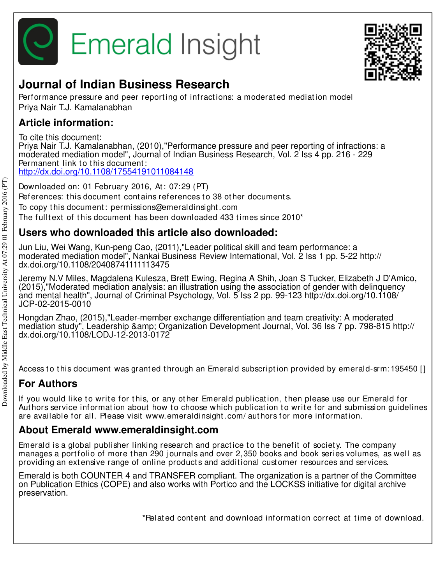



# **Journal of Indian Business Research**

Performance pressure and peer reporting of infractions: a moderated mediation model Priya Nair T.J. Kamalanabhan

## **Article information:**

To cite this document: Priya Nair T.J. Kamalanabhan, (2010),"Performance pressure and peer reporting of infractions: a moderated mediation model", Journal of Indian Business Research, Vol. 2 Iss 4 pp. 216 - 229 Permanent link to this document: http://dx.doi.org/10.1108/17554191011084148

Downloaded on: 01 February 2016, At : 07:29 (PT)

References: this document contains references to 38 other documents.

To copy t his document : permissions@emeraldinsight .com

The fulltext of this document has been downloaded  $433$  times since  $2010<sup>*</sup>$ 

## **Users who downloaded this article also downloaded:**

Jun Liu, Wei Wang, Kun-peng Cao, (2011),"Leader political skill and team performance: a moderated mediation model", Nankai Business Review International, Vol. 2 Iss 1 pp. 5-22 http:// dx.doi.org/10.1108/20408741111113475

Jeremy N.V Miles, Magdalena Kulesza, Brett Ewing, Regina A Shih, Joan S Tucker, Elizabeth J D'Amico, (2015),"Moderated mediation analysis: an illustration using the association of gender with delinquency and mental health", Journal of Criminal Psychology, Vol. 5 Iss 2 pp. 99-123 http://dx.doi.org/10.1108/ JCP-02-2015-0010

Hongdan Zhao, (2015),"Leader-member exchange differentiation and team creativity: A moderated mediation study", Leadership & amp; Organization Development Journal, Vol. 36 Iss 7 pp. 798-815 http:// dx.doi.org/10.1108/LODJ-12-2013-0172

Access to this document was granted through an Emerald subscription provided by emerald-srm:195450 []

## **For Authors**

If you would like to write for this, or any other Emerald publication, then please use our Emerald for Authors service information about how to choose which publication to write for and submission guidelines are available for all. Please visit www.emeraldinsight .com/ aut hors for more informat ion.

## **About Emerald www.emeraldinsight.com**

Emerald is a global publisher linking research and practice to the benefit of society. The company manages a portfolio of more than 290 journals and over 2,350 books and book series volumes, as well as providing an extensive range of online products and additional customer resources and services.

Emerald is both COUNTER 4 and TRANSFER compliant. The organization is a partner of the Committee on Publication Ethics (COPE) and also works with Portico and the LOCKSS initiative for digital archive preservation.

\*Relat ed cont ent and download informat ion correct at t ime of download.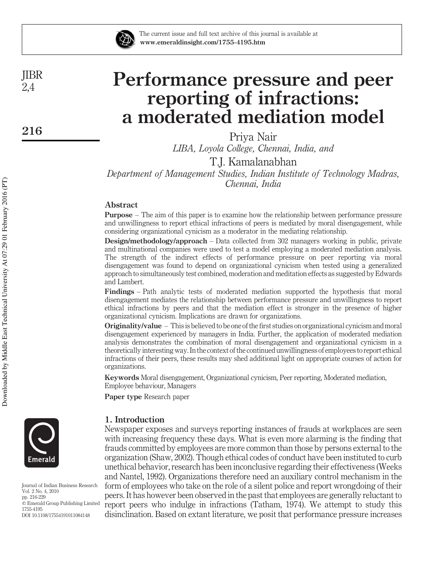

The current issue and full text archive of this journal is available at www.emeraldinsight.com/1755-4195.htm

JIBR 2,4

216

# Performance pressure and peer reporting of infractions: a moderated mediation model

Priya Nair *LIBA, Loyola College, Chennai, India, and* T.J. Kamalanabhan

*Department of Management Studies, Indian Institute of Technology Madras, Chennai, India*

#### Abstract

Purpose – The aim of this paper is to examine how the relationship between performance pressure and unwillingness to report ethical infractions of peers is mediated by moral disengagement, while considering organizational cynicism as a moderator in the mediating relationship.

Design/methodology/approach – Data collected from 302 managers working in public, private and multinational companies were used to test a model employing a moderated mediation analysis. The strength of the indirect effects of performance pressure on peer reporting via moral disengagement was found to depend on organizational cynicism when tested using a generalized approach to simultaneously test combined, moderation and meditation effects as suggested by Edwards and Lambert.

Findings – Path analytic tests of moderated mediation supported the hypothesis that moral disengagement mediates the relationship between performance pressure and unwillingness to report ethical infractions by peers and that the mediation effect is stronger in the presence of higher organizational cynicism. Implications are drawn for organizations.

Originality/value – This is believed to be one of the first studies on organizational cynicism and moral disengagement experienced by managers in India. Further, the application of moderated mediation analysis demonstrates the combination of moral disengagement and organizational cynicism in a theoretically interesting way. In the context of the continued unwillingness of employees to report ethical infractions of their peers, these results may shed additional light on appropriate courses of action for organizations.

Keywords Moral disengagement, Organizational cynicism, Peer reporting, Moderated mediation, Employee behaviour, Managers

Paper type Research paper



1. Introduction

Newspaper exposes and surveys reporting instances of frauds at workplaces are seen with increasing frequency these days. What is even more alarming is the finding that frauds committed by employees are more common than those by persons external to the organization (Shaw, 2002). Though ethical codes of conduct have been instituted to curb unethical behavior, research has been inconclusive regarding their effectiveness (Weeks and Nantel, 1992). Organizations therefore need an auxiliary control mechanism in the form of employees who take on the role of a silent police and report wrongdoing of their peers. It has however been observed in the past that employees are generally reluctant to report peers who indulge in infractions (Tatham, 1974). We attempt to study this disinclination. Based on extant literature, we posit that performance pressure increases



Journal of Indian Business Research Vol. 2 No. 4, 2010 pp. 216-229 q Emerald Group Publishing Limited 1755-4195 DOI 10.1108/17554191011084148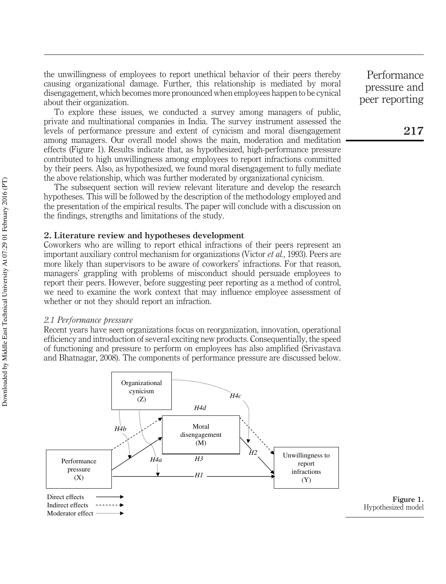the unwillingness of employees to report unethical behavior of their peers thereby causing organizational damage. Further, this relationship is mediated by moral disengagement, which becomes more pronounced when employees happen to be cynical about their organization.

To explore these issues, we conducted a survey among managers of public, private and multinational companies in India. The survey instrument assessed the levels of performance pressure and extent of cynicism and moral disengagement among managers. Our overall model shows the main, moderation and meditation effects (Figure 1). Results indicate that, as hypothesized, high-performance pressure contributed to high unwillingness among employees to report infractions committed by their peers. Also, as hypothesized, we found moral disengagement to fully mediate the above relationship, which was further moderated by organizational cynicism.

The subsequent section will review relevant literature and develop the research hypotheses. This will be followed by the description of the methodology employed and the presentation of the empirical results. The paper will conclude with a discussion on the findings, strengths and limitations of the study.

#### 2. Literature review and hypotheses development

Coworkers who are willing to report ethical infractions of their peers represent an important auxiliary control mechanism for organizations (Victor *et al.*, 1993). Peers are more likely than supervisors to be aware of coworkers' infractions. For that reason, managers' grappling with problems of misconduct should persuade employees to report their peers. However, before suggesting peer reporting as a method of control, we need to examine the work context that may influence employee assessment of whether or not they should report an infraction.

#### *2.1 Performance pressure*

Recent years have seen organizations focus on reorganization, innovation, operational efficiency and introduction of several exciting new products. Consequentially, the speed of functioning and pressure to perform on employees has also amplified (Srivastava and Bhatnagar, 2008). The components of performance pressure are discussed below.



Performance pressure and peer reporting

Figure 1. Hypothesized model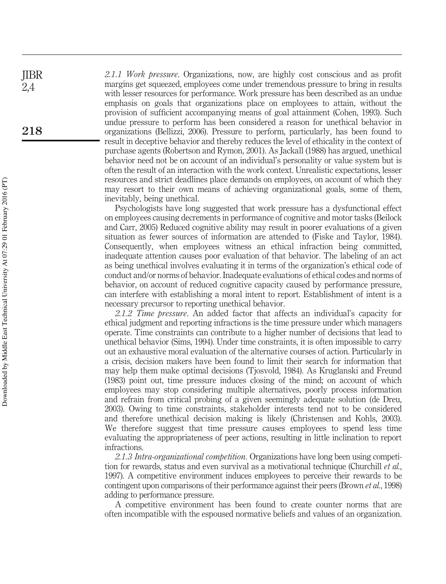*2.1.1 Work pressure*. Organizations, now, are highly cost conscious and as profit margins get squeezed, employees come under tremendous pressure to bring in results with lesser resources for performance. Work pressure has been described as an undue emphasis on goals that organizations place on employees to attain, without the provision of sufficient accompanying means of goal attainment (Cohen, 1993). Such undue pressure to perform has been considered a reason for unethical behavior in organizations (Bellizzi, 2006). Pressure to perform, particularly, has been found to result in deceptive behavior and thereby reduces the level of ethicality in the context of purchase agents (Robertson and Rymon, 2001). As Jackall (1988) has argued, unethical behavior need not be on account of an individual's personality or value system but is often the result of an interaction with the work context. Unrealistic expectations, lesser resources and strict deadlines place demands on employees, on account of which they may resort to their own means of achieving organizational goals, some of them, inevitably, being unethical.

Psychologists have long suggested that work pressure has a dysfunctional effect on employees causing decrements in performance of cognitive and motor tasks (Beilock and Carr, 2005) Reduced cognitive ability may result in poorer evaluations of a given situation as fewer sources of information are attended to (Fiske and Taylor, 1984). Consequently, when employees witness an ethical infraction being committed, inadequate attention causes poor evaluation of that behavior. The labeling of an act as being unethical involves evaluating it in terms of the organization's ethical code of conduct and/or norms of behavior. Inadequate evaluations of ethical codes and norms of behavior, on account of reduced cognitive capacity caused by performance pressure, can interfere with establishing a moral intent to report. Establishment of intent is a necessary precursor to reporting unethical behavior.

*2.1.2 Time pressure*. An added factor that affects an individual's capacity for ethical judgment and reporting infractions is the time pressure under which managers operate. Time constraints can contribute to a higher number of decisions that lead to unethical behavior (Sims, 1994). Under time constraints, it is often impossible to carry out an exhaustive moral evaluation of the alternative courses of action. Particularly in a crisis, decision makers have been found to limit their search for information that may help them make optimal decisions (Tjosvold, 1984). As Kruglanski and Freund (1983) point out, time pressure induces closing of the mind; on account of which employees may stop considering multiple alternatives, poorly process information and refrain from critical probing of a given seemingly adequate solution (de Dreu, 2003). Owing to time constraints, stakeholder interests tend not to be considered and therefore unethical decision making is likely (Christensen and Kohls, 2003). We therefore suggest that time pressure causes employees to spend less time evaluating the appropriateness of peer actions, resulting in little inclination to report infractions.

*2.1.3 Intra-organizational competition*. Organizations have long been using competition for rewards, status and even survival as a motivational technique (Churchill *et al.*, 1997). A competitive environment induces employees to perceive their rewards to be contingent upon comparisons of their performance against their peers (Brown *et al.*, 1998) adding to performance pressure.

A competitive environment has been found to create counter norms that are often incompatible with the espoused normative beliefs and values of an organization.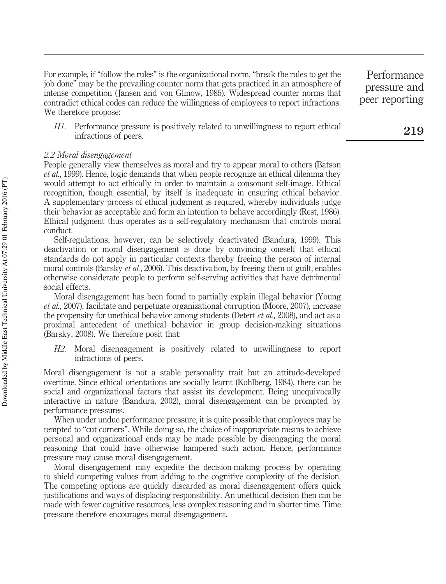For example, if "follow the rules" is the organizational norm, "break the rules to get the job done" may be the prevailing counter norm that gets practiced in an atmosphere of intense competition (Jansen and von Glinow, 1985). Widespread counter norms that contradict ethical codes can reduce the willingness of employees to report infractions. We therefore propose:

*H1.* Performance pressure is positively related to unwillingness to report ethical infractions of peers.

#### *2.2 Moral disengagement*

People generally view themselves as moral and try to appear moral to others (Batson *et al.*, 1999). Hence, logic demands that when people recognize an ethical dilemma they would attempt to act ethically in order to maintain a consonant self-image. Ethical recognition, though essential, by itself is inadequate in ensuring ethical behavior. A supplementary process of ethical judgment is required, whereby individuals judge their behavior as acceptable and form an intention to behave accordingly (Rest, 1986). Ethical judgment thus operates as a self-regulatory mechanism that controls moral conduct.

Self-regulations, however, can be selectively deactivated (Bandura, 1999). This deactivation or moral disengagement is done by convincing oneself that ethical standards do not apply in particular contexts thereby freeing the person of internal moral controls (Barsky *et al.*, 2006). This deactivation, by freeing them of guilt, enables otherwise considerate people to perform self-serving activities that have detrimental social effects.

Moral disengagement has been found to partially explain illegal behavior (Young *et al.*, 2007), facilitate and perpetuate organizational corruption (Moore, 2007), increase the propensity for unethical behavior among students (Detert *et al.*, 2008), and act as a proximal antecedent of unethical behavior in group decision-making situations (Barsky, 2008). We therefore posit that:

*H2.* Moral disengagement is positively related to unwillingness to report infractions of peers.

Moral disengagement is not a stable personality trait but an attitude-developed overtime. Since ethical orientations are socially learnt (Kohlberg, 1984), there can be social and organizational factors that assist its development. Being unequivocally interactive in nature (Bandura, 2002), moral disengagement can be prompted by performance pressures.

When under undue performance pressure, it is quite possible that employees may be tempted to "cut corners". While doing so, the choice of inappropriate means to achieve personal and organizational ends may be made possible by disengaging the moral reasoning that could have otherwise hampered such action. Hence, performance pressure may cause moral disengagement.

Moral disengagement may expedite the decision-making process by operating to shield competing values from adding to the cognitive complexity of the decision. The competing options are quickly discarded as moral disengagement offers quick justifications and ways of displacing responsibility. An unethical decision then can be made with fewer cognitive resources, less complex reasoning and in shorter time. Time pressure therefore encourages moral disengagement.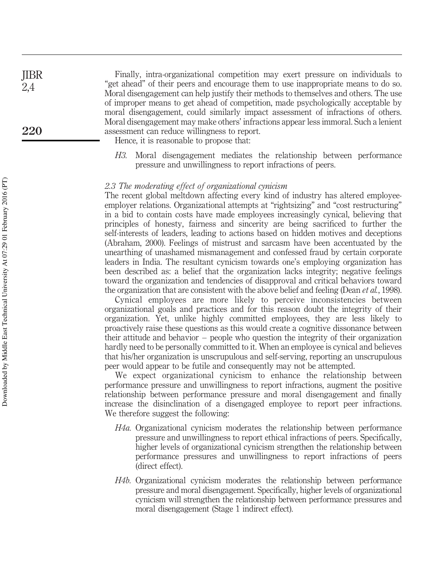Finally, intra-organizational competition may exert pressure on individuals to "get ahead" of their peers and encourage them to use inappropriate means to do so. Moral disengagement can help justify their methods to themselves and others. The use of improper means to get ahead of competition, made psychologically acceptable by moral disengagement, could similarly impact assessment of infractions of others. Moral disengagement may make others' infractions appear less immoral. Such a lenient assessment can reduce willingness to report.

Hence, it is reasonable to propose that:

*H3.* Moral disengagement mediates the relationship between performance pressure and unwillingness to report infractions of peers.

#### *2.3 The moderating effect of organizational cynicism*

The recent global meltdown affecting every kind of industry has altered employeeemployer relations. Organizational attempts at "rightsizing" and "cost restructuring" in a bid to contain costs have made employees increasingly cynical, believing that principles of honesty, fairness and sincerity are being sacrificed to further the self-interests of leaders, leading to actions based on hidden motives and deceptions (Abraham, 2000). Feelings of mistrust and sarcasm have been accentuated by the unearthing of unashamed mismanagement and confessed fraud by certain corporate leaders in India. The resultant cynicism towards one's employing organization has been described as: a belief that the organization lacks integrity; negative feelings toward the organization and tendencies of disapproval and critical behaviors toward the organization that are consistent with the above belief and feeling (Dean *et al.*, 1998).

Cynical employees are more likely to perceive inconsistencies between organizational goals and practices and for this reason doubt the integrity of their organization. Yet, unlike highly committed employees, they are less likely to proactively raise these questions as this would create a cognitive dissonance between their attitude and behavior – people who question the integrity of their organization hardly need to be personally committed to it. When an employee is cynical and believes that his/her organization is unscrupulous and self-serving, reporting an unscrupulous peer would appear to be futile and consequently may not be attempted.

We expect organizational cynicism to enhance the relationship between performance pressure and unwillingness to report infractions, augment the positive relationship between performance pressure and moral disengagement and finally increase the disinclination of a disengaged employee to report peer infractions. We therefore suggest the following:

- *H4a.* Organizational cynicism moderates the relationship between performance pressure and unwillingness to report ethical infractions of peers. Specifically, higher levels of organizational cynicism strengthen the relationship between performance pressures and unwillingness to report infractions of peers (direct effect).
- *H4b.* Organizational cynicism moderates the relationship between performance pressure and moral disengagement. Specifically, higher levels of organizational cynicism will strengthen the relationship between performance pressures and moral disengagement (Stage 1 indirect effect).

220

JIBR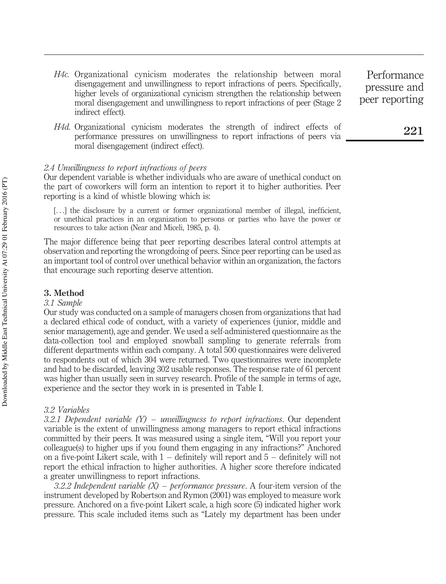- *H4c.* Organizational cynicism moderates the relationship between moral disengagement and unwillingness to report infractions of peers. Specifically, higher levels of organizational cynicism strengthen the relationship between moral disengagement and unwillingness to report infractions of peer (Stage 2 indirect effect).
- *H4d.* Organizational cynicism moderates the strength of indirect effects of performance pressures on unwillingness to report infractions of peers via moral disengagement (indirect effect).

#### *2.4 Unwillingness to report infractions of peers*

Our dependent variable is whether individuals who are aware of unethical conduct on the part of coworkers will form an intention to report it to higher authorities. Peer reporting is a kind of whistle blowing which is:

[...] the disclosure by a current or former organizational member of illegal, inefficient, or unethical practices in an organization to persons or parties who have the power or resources to take action (Near and Miceli, 1985, p. 4).

The major difference being that peer reporting describes lateral control attempts at observation and reporting the wrongdoing of peers. Since peer reporting can be used as an important tool of control over unethical behavior within an organization, the factors that encourage such reporting deserve attention.

#### 3. Method

#### *3.1 Sample*

Our study was conducted on a sample of managers chosen from organizations that had a declared ethical code of conduct, with a variety of experiences (junior, middle and senior management), age and gender. We used a self-administered questionnaire as the data-collection tool and employed snowball sampling to generate referrals from different departments within each company. A total 500 questionnaires were delivered to respondents out of which 304 were returned. Two questionnaires were incomplete and had to be discarded, leaving 302 usable responses. The response rate of 61 percent was higher than usually seen in survey research. Profile of the sample in terms of age, experience and the sector they work in is presented in Table I.

#### *3.2 Variables*

*3.2.1 Dependent variable (Y) – unwillingness to report infractions*. Our dependent variable is the extent of unwillingness among managers to report ethical infractions committed by their peers. It was measured using a single item, "Will you report your colleague(s) to higher ups if you found them engaging in any infractions?" Anchored on a five-point Likert scale, with  $1$  – definitely will report and  $5$  – definitely will not report the ethical infraction to higher authorities. A higher score therefore indicated a greater unwillingness to report infractions.

*3.2.2 Independent variable (X) – performance pressure*. A four-item version of the instrument developed by Robertson and Rymon (2001) was employed to measure work pressure. Anchored on a five-point Likert scale, a high score (5) indicated higher work pressure. This scale included items such as "Lately my department has been under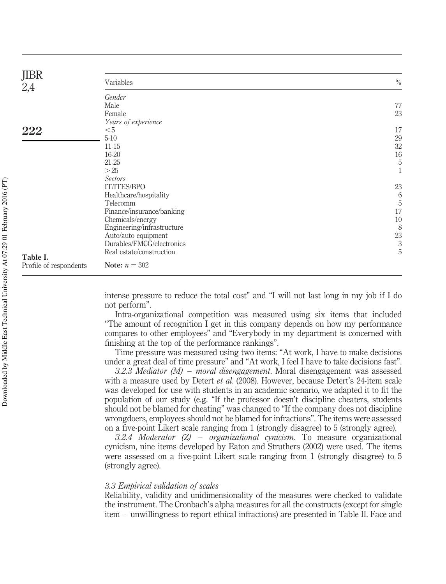| <b>JIBR</b><br>2,4     | Variables                                                                    | $\%$                                     |
|------------------------|------------------------------------------------------------------------------|------------------------------------------|
|                        | Gender<br>Male<br>Female                                                     | $77\,$<br>23                             |
| 222                    | Years of experience<br>$<$ 5                                                 | 17                                       |
|                        | $5-10$<br>$11 - 15$                                                          | 29<br>32                                 |
|                        | 16-20<br>21-25<br>>25                                                        | $16\,$<br>$\overline{5}$<br>$\mathbf{1}$ |
|                        | <b>Sectors</b><br><b>IT/ITES/BPO</b>                                         | 23                                       |
|                        | Healthcare/hospitality<br>Telecomm<br>Finance/insurance/banking              | $\,6$<br>$\overline{5}$<br>17            |
|                        | Chemicals/energy<br>Engineering/infrastructure                               | 10<br>8                                  |
| Table I.               | Auto/auto equipment<br>Durables/FMCG/electronics<br>Real estate/construction | 23<br>3<br>$\overline{5}$                |
| Profile of respondents | Note: $n = 302$                                                              |                                          |

intense pressure to reduce the total cost" and "I will not last long in my job if I do not perform".

Intra-organizational competition was measured using six items that included "The amount of recognition I get in this company depends on how my performance compares to other employees" and "Everybody in my department is concerned with finishing at the top of the performance rankings".

Time pressure was measured using two items: "At work, I have to make decisions under a great deal of time pressure" and "At work, I feel I have to take decisions fast".

*3.2.3 Mediator (M) – moral disengagement*. Moral disengagement was assessed with a measure used by Detert *et al.* (2008). However, because Detert's 24-item scale was developed for use with students in an academic scenario, we adapted it to fit the population of our study (e.g. "If the professor doesn't discipline cheaters, students should not be blamed for cheating" was changed to "If the company does not discipline wrongdoers, employees should not be blamed for infractions". The items were assessed on a five-point Likert scale ranging from 1 (strongly disagree) to 5 (strongly agree).

*3.2.4 Moderator (Z) – organizational cynicism*. To measure organizational cynicism, nine items developed by Eaton and Struthers (2002) were used. The items were assessed on a five-point Likert scale ranging from 1 (strongly disagree) to 5 (strongly agree).

#### *3.3 Empirical validation of scales*

Reliability, validity and unidimensionality of the measures were checked to validate the instrument. The Cronbach's alpha measures for all the constructs (except for single item – unwillingness to report ethical infractions) are presented in Table II. Face and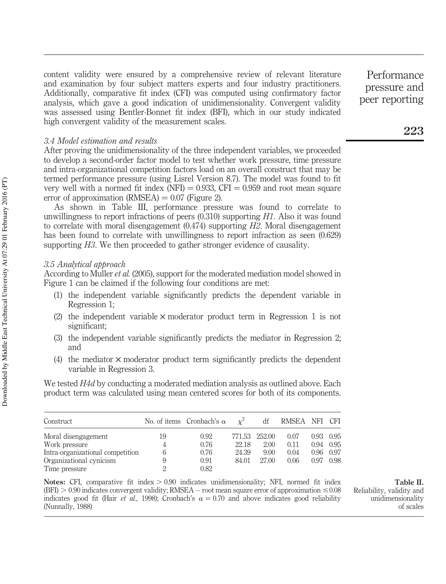content validity were ensured by a comprehensive review of relevant literature and examination by four subject matters experts and four industry practitioners. Additionally, comparative fit index (CFI) was computed using confirmatory factor analysis, which gave a good indication of unidimensionality. Convergent validity was assessed using Bentler-Bonnet fit index (BFI), which in our study indicated high convergent validity of the measurement scales.

#### *3.4 Model estimation and results*

After proving the unidimensionality of the three independent variables, we proceeded to develop a second-order factor model to test whether work pressure, time pressure and intra-organizational competition factors load on an overall construct that may be termed performance pressure (using Lisrel Version 8.7). The model was found to fit very well with a normed fit index  $(NFI) = 0.933$ ,  $CFI = 0.959$  and root mean square error of approximation  $(RMSEA) = 0.07$  (Figure 2).

As shown in Table III, performance pressure was found to correlate to unwillingness to report infractions of peers (0.310) supporting *H1*. Also it was found to correlate with moral disengagement (0.474) supporting *H2*. Moral disengagement has been found to correlate with unwillingness to report infraction as seen (0.629) supporting *H3*. We then proceeded to gather stronger evidence of causality.

#### *3.5 Analytical approach*

According to Muller *et al.* (2005), support for the moderated mediation model showed in Figure 1 can be claimed if the following four conditions are met:

- (1) the independent variable significantly predicts the dependent variable in Regression 1;
- (2) the independent variable  $\times$  moderator product term in Regression 1 is not significant;
- (3) the independent variable significantly predicts the mediator in Regression 2; and
- (4) the mediator  $\times$  moderator product term significantly predicts the dependent variable in Regression 3.

We tested *H4d* by conducting a moderated mediation analysis as outlined above. Each product term was calculated using mean centered scores for both of its components.

| Construct                                |         | No. of items Cronbach's $\alpha$ | $\mathbf{v}^2$  | df             | RMSEA NFI CFI |              |              |
|------------------------------------------|---------|----------------------------------|-----------------|----------------|---------------|--------------|--------------|
| Moral disengagement<br>Work pressure     | 19<br>4 | 0.92<br>0.76                     | 771.53<br>22.18 | 252.00<br>2.00 | 0.07<br>0.11  | 0.93<br>0.94 | 0.95<br>0.95 |
| Intra-organizational competition         | 6       | 0.76                             | 24.39           | 9.00           | 0.04          | 0.96         | 0.97         |
| Organizational cynicism<br>Time pressure | 9<br>2  | 0.91<br>0.82                     | 84.01           | 27.00          | 0.06          | 0.97         | 0.98         |

Notes: CFI, comparative fit index  $> 0.90$  indicates unidimensionality; NFI, normed fit index  $(BFI) > 0.90$  indicates convergent validity; RMSEA – root mean square error of approximation  $\leq 0.08$ indicates good fit (Hair *et al.*, 1998); Cronbach's  $\alpha = 0.70$  and above indicates good reliability (Nunnally, 1988)

Table II. Reliability, validity and unidimensionality of scales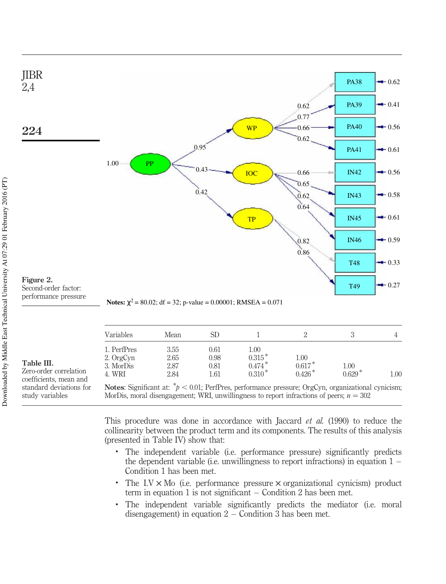

## Table III.

Zero-order correlation coefficients, mean and standard deviations for study variables

Notes: Significant at:  $*\!p$  < 0.01; PerfPres, performance pressure; OrgCyn, organizational cynicism; MorDis, moral disengagement; WRI, unwillingness to report infractions of peers;  $n = 302$ 

4. WRI 2.84 1.61 0.310\* 0.426\* 0.629\* 1.00

3. MorDis 2.87 0.81 0.474  $\stackrel{*}{\sim} 0.617$  1.00

This procedure was done in accordance with Jaccard *et al.* (1990) to reduce the collinearity between the product term and its components. The results of this analysis (presented in Table IV) show that:

- . The independent variable (i.e. performance pressure) significantly predicts the dependent variable (i.e. unwillingness to report infractions) in equation  $1 -$ Condition 1 has been met.
- The I.V  $\times$  Mo (i.e. performance pressure  $\times$  organizational cynicism) product term in equation 1 is not significant – Condition 2 has been met.
- . The independent variable significantly predicts the mediator (i.e. moral disengagement) in equation 2 – Condition 3 has been met.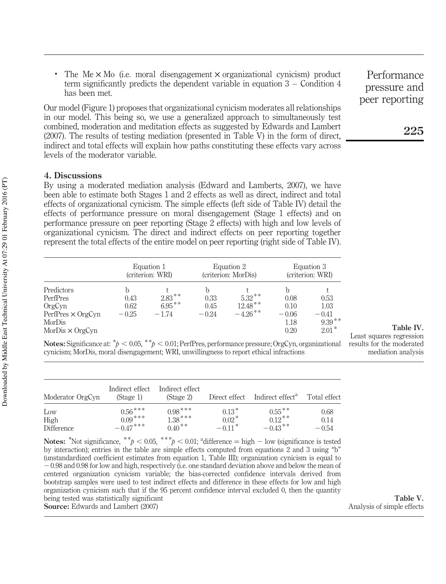• The Me  $\times$  Mo (i.e. moral disengagement  $\times$  organizational cynicism) product term significantly predicts the dependent variable in equation 3 – Condition 4 has been met.

Our model (Figure 1) proposes that organizational cynicism moderates all relationships in our model. This being so, we use a generalized approach to simultaneously test combined, moderation and meditation effects as suggested by Edwards and Lambert (2007). The results of testing mediation (presented in Table V) in the form of direct, indirect and total effects will explain how paths constituting these effects vary across levels of the moderator variable.

#### 4. Discussions

By using a moderated mediation analysis (Edward and Lamberts, 2007), we have been able to estimate both Stages 1 and 2 effects as well as direct, indirect and total effects of organizational cynicism. The simple effects (left side of Table IV) detail the effects of performance pressure on moral disengagement (Stage 1 effects) and on performance pressure on peer reporting (Stage 2 effects) with high and low levels of organizational cynicism. The direct and indirect effects on peer reporting together represent the total effects of the entire model on peer reporting (right side of Table IV).

|                                                                                                  |                         | Equation 1<br>(criterion: WRI)    | Equation 2<br>(criterion: MorDis) |                                                  | (criterion: WRI)                        |                                                 | Equation 3 |
|--------------------------------------------------------------------------------------------------|-------------------------|-----------------------------------|-----------------------------------|--------------------------------------------------|-----------------------------------------|-------------------------------------------------|------------|
| Predictors<br>PerfPres<br>OrgCyn<br>$PerfPres \times OrgCyn$<br>MorDis<br>MorDis $\times$ OrgCyn | 0.43<br>0.62<br>$-0.25$ | $2.83***$<br>$6.95***$<br>$-1.74$ | 0.33<br>0.45<br>$-0.24$           | $5.32***$<br>$12.48***$<br>$-4.26$ <sup>**</sup> | 0.08<br>0.10<br>$-0.06$<br>1.18<br>0.20 | 0.53<br>1.03<br>$-0.41$<br>$9.39***$<br>$2.01*$ |            |

Notes: Significance at:  $^*p < 0.05$ ,  $^*p < 0.01$ ; PerfPres, performance pressure; OrgCyn, organizational cynicism; MorDis, moral disengagement; WRI, unwillingness to report ethical infractions

| Moderator OrgCyn | Indirect effect<br>(Stage 1) | Indirect effect<br>(Stage 2) | Direct effect        | Indirect effect <sup>a</sup> | Total effect |
|------------------|------------------------------|------------------------------|----------------------|------------------------------|--------------|
| Low              | $0.56***$                    | $0.98***$                    | $0.13*$              | $0.55***$                    | 0.68         |
| High             | $0.09***$                    | $1.38***$                    | $0.02*$              | $0.12***$                    | 0.14         |
| Difference       | $-0.47***$                   | $0.40**$                     | $-0.11$ <sup>*</sup> | $-0.43$ <sup>**</sup>        | $-0.54$      |

**Notes:** \*Not significance, \*\**p* < 0.05, \*\*\**p* < 0.01; <sup>a</sup>difference = high - low (significance is tested by interaction); entries in the table are simple effects computed from equations 2 and 3 using "b" (unstandardized coefficient estimates from equation 1, Table III); organization cynicism is equal to  $-0.98$  and 0.98 for low and high, respectively (i.e. one standard deviation above and below the mean of centered organization cynicism variable; the bias-corrected confidence intervals derived from bootstrap samples were used to test indirect effects and difference in these effects for low and high organization cynicism such that if the 95 percent confidence interval excluded 0, then the quantity being tested was statistically significant Source: Edwards and Lambert (2007)

Table V. Analysis of simple effects

Table IV.

Least squares regression results for the moderated mediation analysis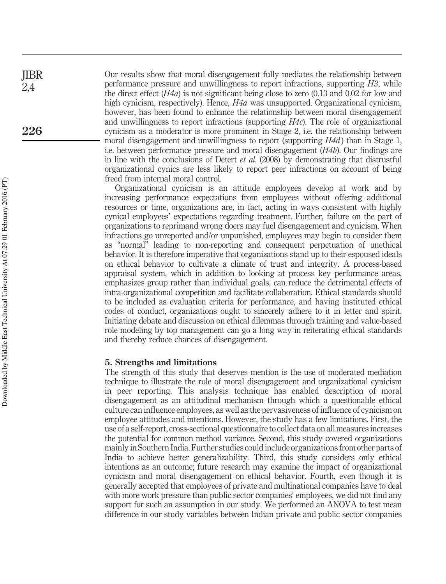Our results show that moral disengagement fully mediates the relationship between performance pressure and unwillingness to report infractions, supporting *H3*, while the direct effect (*H4a*) is not significant being close to zero (0.13 and 0.02 for low and high cynicism, respectively). Hence, *H4a* was unsupported. Organizational cynicism, however, has been found to enhance the relationship between moral disengagement and unwillingness to report infractions (supporting *H4c*). The role of organizational cynicism as a moderator is more prominent in Stage 2, i.e. the relationship between moral disengagement and unwillingness to report (supporting *H4d*) than in Stage 1, i.e. between performance pressure and moral disengagement (*H4b*). Our findings are in line with the conclusions of Detert *et al.* (2008) by demonstrating that distrustful organizational cynics are less likely to report peer infractions on account of being freed from internal moral control.

Organizational cynicism is an attitude employees develop at work and by increasing performance expectations from employees without offering additional resources or time, organizations are, in fact, acting in ways consistent with highly cynical employees' expectations regarding treatment. Further, failure on the part of organizations to reprimand wrong doers may fuel disengagement and cynicism. When infractions go unreported and/or unpunished, employees may begin to consider them as "normal" leading to non-reporting and consequent perpetuation of unethical behavior. It is therefore imperative that organizations stand up to their espoused ideals on ethical behavior to cultivate a climate of trust and integrity. A process-based appraisal system, which in addition to looking at process key performance areas, emphasizes group rather than individual goals, can reduce the detrimental effects of intra-organizational competition and facilitate collaboration. Ethical standards should to be included as evaluation criteria for performance, and having instituted ethical codes of conduct, organizations ought to sincerely adhere to it in letter and spirit. Initiating debate and discussion on ethical dilemmas through training and value-based role modeling by top management can go a long way in reiterating ethical standards and thereby reduce chances of disengagement.

#### 5. Strengths and limitations

The strength of this study that deserves mention is the use of moderated mediation technique to illustrate the role of moral disengagement and organizational cynicism in peer reporting. This analysis technique has enabled description of moral disengagement as an attitudinal mechanism through which a questionable ethical culture can influence employees, as well as the pervasiveness of influence of cynicism on employee attitudes and intentions. However, the study has a few limitations. First, the use of a self-report, cross-sectional questionnaire to collect data on all measures increases the potential for common method variance. Second, this study covered organizations mainly in Southern India. Further studies could include organizations from other parts of India to achieve better generalizability. Third, this study considers only ethical intentions as an outcome; future research may examine the impact of organizational cynicism and moral disengagement on ethical behavior. Fourth, even though it is generally accepted that employees of private and multinational companies have to deal with more work pressure than public sector companies' employees, we did not find any support for such an assumption in our study. We performed an ANOVA to test mean difference in our study variables between Indian private and public sector companies

226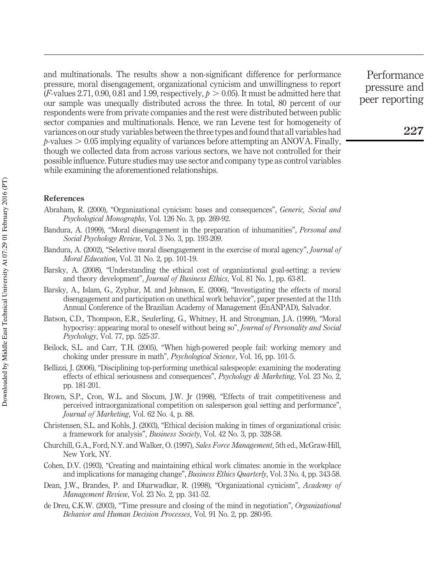and multinationals. The results show a non-significant difference for performance pressure, moral disengagement, organizational cynicism and unwillingness to report (*F*-values 2.71, 0.90, 0.81 and 1.99, respectively,  $p > 0.05$ ). It must be admitted here that our sample was unequally distributed across the three. In total, 80 percent of our respondents were from private companies and the rest were distributed between public sector companies and multinationals. Hence, we ran Levene test for homogeneity of variances on our study variables between the three types and found that all variables had *p*-values  $> 0.05$  implying equality of variances before attempting an ANOVA. Finally, though we collected data from across various sectors, we have not controlled for their possible influence. Future studies may use sector and company type as control variables while examining the aforementioned relationships.

#### References

- Abraham, R. (2000), "Organizational cynicism: bases and consequences", *Generic, Social and Psychological Monographs*, Vol. 126 No. 3, pp. 269-92.
- Bandura, A. (1999), "Moral disengagement in the preparation of inhumanities", *Personal and Social Psychology Review*, Vol. 3 No. 3, pp. 193-209.
- Bandura, A. (2002), "Selective moral disengagement in the exercise of moral agency", *Journal of Moral Education*, Vol. 31 No. 2, pp. 101-19.
- Barsky, A. (2008), "Understanding the ethical cost of organizational goal-setting: a review and theory development", *Journal of Business Ethics*, Vol. 81 No. 1, pp. 63-81.
- Barsky, A., Islam, G., Zyphur, M. and Johnson, E. (2006), "Investigating the effects of moral disengagement and participation on unethical work behavior", paper presented at the 11th Annual Conference of the Brazilian Academy of Management (EnANPAD), Salvador.
- Batson, C.D., Thompson, E.R., Seuferling, G., Whitney, H. and Strongman, J.A. (1999), "Moral hypocrisy: appearing moral to oneself without being so", *Journal of Personality and Social Psychology*, Vol. 77, pp. 525-37.
- Beilock, S.L. and Carr, T.H. (2005), "When high-powered people fail: working memory and choking under pressure in math", *Psychological Science*, Vol. 16, pp. 101-5.
- Bellizzi, J. (2006), "Disciplining top-performing unethical salespeople: examining the moderating effects of ethical seriousness and consequences", *Psychology & Marketing*, Vol. 23 No. 2, pp. 181-201.
- Brown, S.P., Cron, W.L. and Slocum, J.W. Jr (1998), "Effects of trait competitiveness and perceived intraorganizational competition on salesperson goal setting and performance", *Journal of Marketing*, Vol. 62 No. 4, p. 88.
- Christensen, S.L. and Kohls, J. (2003), "Ethical decision making in times of organizational crisis: a framework for analysis", *Business Society*, Vol. 42 No. 3, pp. 328-58.
- Churchill, G.A., Ford, N.Y. and Walker, O. (1997), *Sales Force Management*, 5th ed., McGraw-Hill, New York, NY.
- Cohen, D.V. (1993), "Creating and maintaining ethical work climates: anomie in the workplace and implications for managing change", *Business Ethics Quarterly*, Vol. 3 No. 4, pp. 343-58.
- Dean, J.W., Brandes, P. and Dharwadkar, R. (1998), "Organizational cynicism", *Academy of Management Review*, Vol. 23 No. 2, pp. 341-52.
- de Dreu, C.K.W. (2003), "Time pressure and closing of the mind in negotiation", *Organizational Behavior and Human Decision Processes*, Vol. 91 No. 2, pp. 280-95.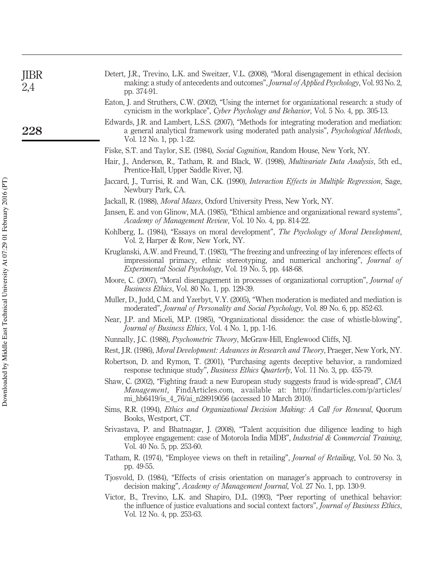| JIBR<br>2,4 | Detert, J.R., Trevino, L.K. and Sweitzer, V.L. (2008), "Moral disengagement in ethical decision<br>making: a study of antecedents and outcomes", Journal of Applied Psychology, Vol. 93 No. 2,<br>pp. 374-91.                                       |
|-------------|-----------------------------------------------------------------------------------------------------------------------------------------------------------------------------------------------------------------------------------------------------|
|             | Eaton, J. and Struthers, C.W. (2002), "Using the internet for organizational research: a study of<br>cynicism in the workplace", Cyber Psychology and Behavior, Vol. 5 No. 4, pp. 305-13.                                                           |
| $\bf 228$   | Edwards, J.R. and Lambert, L.S.S. (2007), "Methods for integrating moderation and mediation:<br>a general analytical framework using moderated path analysis", Psychological Methods,<br>Vol. 12 No. 1, pp. 1-22.                                   |
|             | Fiske, S.T. and Taylor, S.E. (1984), Social Cognition, Random House, New York, NY.                                                                                                                                                                  |
|             | Hair, J., Anderson, R., Tatham, R. and Black, W. (1998), <i>Multivariate Data Analysis</i> , 5th ed.,<br>Prentice-Hall, Upper Saddle River, NJ.                                                                                                     |
|             | Jaccard, J., Turrisi, R. and Wan, C.K. (1990), Interaction Effects in Multiple Regression, Sage,<br>Newbury Park, CA.                                                                                                                               |
|             | Jackall, R. (1988), <i>Moral Mazes</i> , Oxford University Press, New York, NY.                                                                                                                                                                     |
|             | Jansen, E. and von Glinow, M.A. (1985), "Ethical ambience and organizational reward systems",<br>Academy of Management Review, Vol. 10 No. 4, pp. 814-22.                                                                                           |
|             | Kohlberg, L. (1984), "Essays on moral development", The Psychology of Moral Development,<br>Vol. 2, Harper & Row, New York, NY.                                                                                                                     |
|             | Kruglanski, A.W. and Freund, T. (1983), "The freezing and unfreezing of lay inferences: effects of<br>impressional primacy, ethnic stereotyping, and numerical anchoring", Journal of<br>Experimental Social Psychology, Vol. 19 No. 5, pp. 448-68. |
|             | Moore, C. (2007), "Moral disengagement in processes of organizational corruption", <i>Journal of</i><br><i>Business Ethics</i> , Vol. 80 No. 1, pp. 129-39.                                                                                         |
|             | Muller, D., Judd, C.M. and Yzerbyt, V.Y. (2005), "When moderation is mediated and mediation is<br>moderated", Journal of Personality and Social Psychology, Vol. 89 No. 6, pp. 852-63.                                                              |
|             | Near, J.P. and Miceli, M.P. (1985), "Organizational dissidence: the case of whistle-blowing",<br><i>Journal of Business Ethics, Vol. 4 No. 1, pp. 1-16.</i>                                                                                         |
|             | Nunnally, J.C. (1988), Psychometric Theory, McGraw-Hill, Englewood Cliffs, NJ.                                                                                                                                                                      |
|             | Rest, J.R. (1986), Moral Development: Advances in Research and Theory, Praeger, New York, NY.                                                                                                                                                       |
|             | Robertson, D. and Rymon, T. (2001), "Purchasing agents deceptive behavior, a randomized<br>response technique study", Business Ethics Quarterly, Vol. 11 No. 3, pp. 455-79.                                                                         |
|             | Shaw, C. (2002), "Fighting fraud: a new European study suggests fraud is wide-spread", CMA<br>Management, FindArticles.com, available at: http://findarticles.com/p/articles/<br>mi_hb6419/is_4_76/ai_n28919056 (accessed 10 March 2010).           |
|             | Sims, R.R. (1994), Ethics and Organizational Decision Making: A Call for Renewal, Quorum<br>Books, Westport, CT.                                                                                                                                    |
|             | Srivastava, P. and Bhatnagar, J. (2008), "Talent acquisition due diligence leading to high<br>employee engagement: case of Motorola India MDB", Industrial & Commercial Training,<br>Vol. 40 No. 5, pp. 253-60.                                     |
|             | Tatham, R. (1974), "Employee views on theft in retailing", Journal of Retailing, Vol. 50 No. 3,<br>pp. 49-55.                                                                                                                                       |
|             | Tjosvold, D. (1984), "Effects of crisis orientation on manager's approach to controversy in<br>decision making", Academy of Management Journal, Vol. 27 No. 1, pp. 130-9.                                                                           |
|             | Victor, B., Trevino, L.K. and Shapiro, D.L. (1993), "Peer reporting of unethical behavior:<br>the influence of justice evaluations and social context factors", Journal of Business Ethics,<br>Vol. 12 No. 4, pp. 253-63.                           |